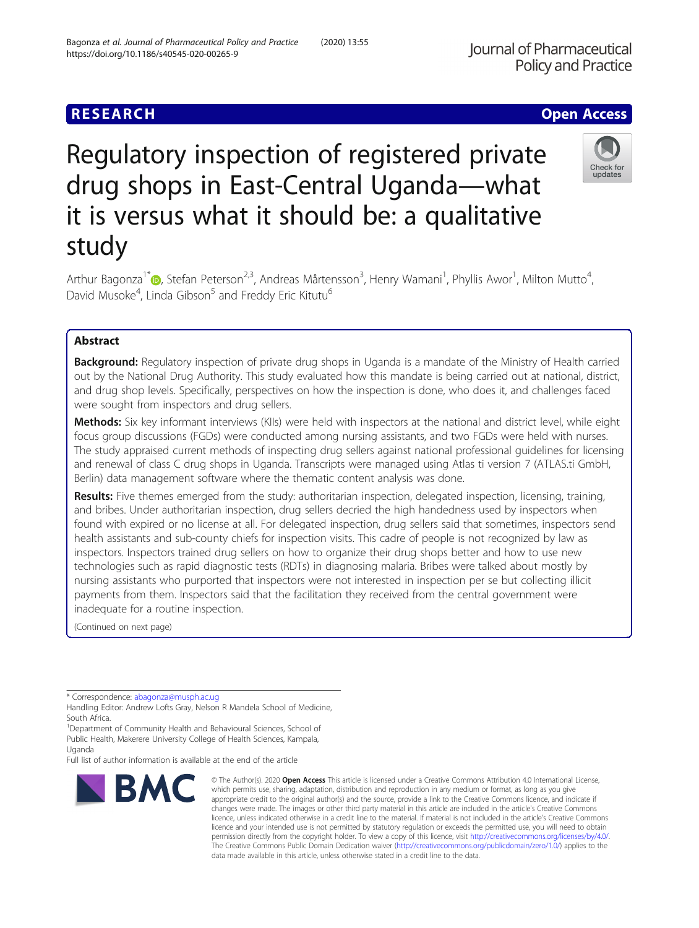# **RESEARCH CHE Open Access**

# Regulatory inspection of registered private drug shops in East-Central Uganda—what it is versus what it should be: a qualitative study

Arthur Bagonza<sup>1[\\*](http://orcid.org/0000-0002-2167-7294)</sup> (@, Stefan Peterson<sup>2,3</sup>, Andreas Mårtensson<sup>3</sup>, Henry Wamani<sup>1</sup>, Phyllis Awor<sup>1</sup>, Milton Mutto<sup>4</sup> , David Musoke<sup>4</sup>, Linda Gibson<sup>5</sup> and Freddy Eric Kitutu<sup>6</sup>

# Abstract

**Background:** Regulatory inspection of private drug shops in Uganda is a mandate of the Ministry of Health carried out by the National Drug Authority. This study evaluated how this mandate is being carried out at national, district, and drug shop levels. Specifically, perspectives on how the inspection is done, who does it, and challenges faced were sought from inspectors and drug sellers.

Methods: Six key informant interviews (KIIs) were held with inspectors at the national and district level, while eight focus group discussions (FGDs) were conducted among nursing assistants, and two FGDs were held with nurses. The study appraised current methods of inspecting drug sellers against national professional guidelines for licensing and renewal of class C drug shops in Uganda. Transcripts were managed using Atlas ti version 7 (ATLAS.ti GmbH, Berlin) data management software where the thematic content analysis was done.

Results: Five themes emerged from the study: authoritarian inspection, delegated inspection, licensing, training, and bribes. Under authoritarian inspection, drug sellers decried the high handedness used by inspectors when found with expired or no license at all. For delegated inspection, drug sellers said that sometimes, inspectors send health assistants and sub-county chiefs for inspection visits. This cadre of people is not recognized by law as inspectors. Inspectors trained drug sellers on how to organize their drug shops better and how to use new technologies such as rapid diagnostic tests (RDTs) in diagnosing malaria. Bribes were talked about mostly by nursing assistants who purported that inspectors were not interested in inspection per se but collecting illicit payments from them. Inspectors said that the facilitation they received from the central government were inadequate for a routine inspection.

(Continued on next page)

\* Correspondence: [abagonza@musph.ac.ug](mailto:abagonza@musph.ac.ug)

BMC

Handling Editor: Andrew Lofts Gray, Nelson R Mandela School of Medicine, South Africa.

<sup>1</sup>Department of Community Health and Behavioural Sciences, School of Public Health, Makerere University College of Health Sciences, Kampala, Uganda

Full list of author information is available at the end of the article



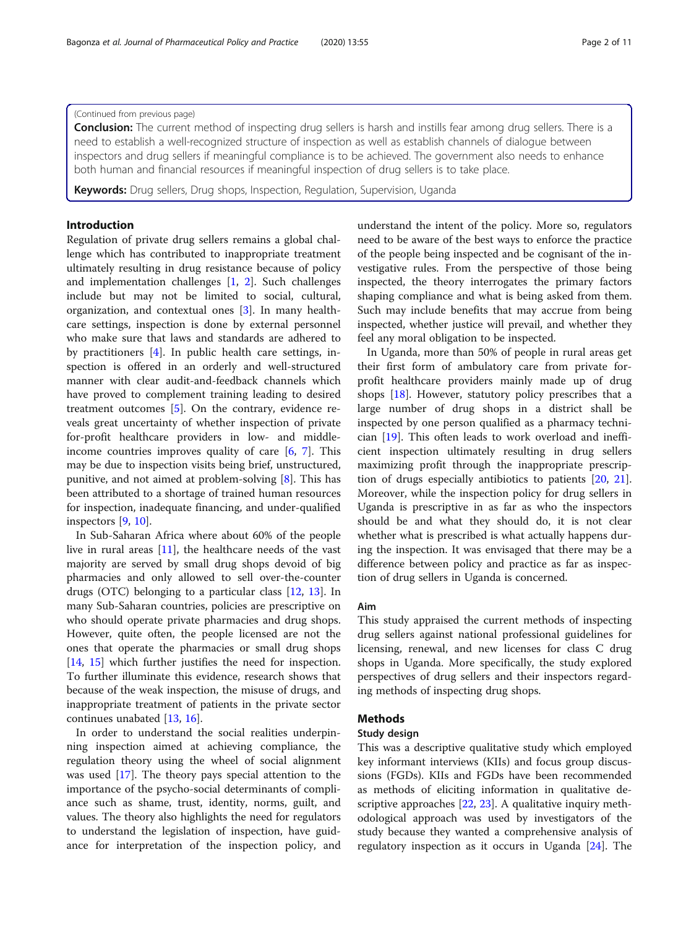#### (Continued from previous page)

**Conclusion:** The current method of inspecting drug sellers is harsh and instills fear among drug sellers. There is a need to establish a well-recognized structure of inspection as well as establish channels of dialogue between inspectors and drug sellers if meaningful compliance is to be achieved. The government also needs to enhance both human and financial resources if meaningful inspection of drug sellers is to take place.

Keywords: Drug sellers, Drug shops, Inspection, Regulation, Supervision, Uganda

# Introduction

Regulation of private drug sellers remains a global challenge which has contributed to inappropriate treatment ultimately resulting in drug resistance because of policy and implementation challenges [\[1](#page-9-0), [2](#page-9-0)]. Such challenges include but may not be limited to social, cultural, organization, and contextual ones [\[3](#page-9-0)]. In many healthcare settings, inspection is done by external personnel who make sure that laws and standards are adhered to by practitioners [[4\]](#page-9-0). In public health care settings, inspection is offered in an orderly and well-structured manner with clear audit-and-feedback channels which have proved to complement training leading to desired treatment outcomes [\[5](#page-10-0)]. On the contrary, evidence reveals great uncertainty of whether inspection of private for-profit healthcare providers in low- and middleincome countries improves quality of care [[6,](#page-10-0) [7](#page-10-0)]. This may be due to inspection visits being brief, unstructured, punitive, and not aimed at problem-solving [\[8](#page-10-0)]. This has been attributed to a shortage of trained human resources for inspection, inadequate financing, and under-qualified inspectors [\[9](#page-10-0), [10](#page-10-0)].

In Sub-Saharan Africa where about 60% of the people live in rural areas [[11](#page-10-0)], the healthcare needs of the vast majority are served by small drug shops devoid of big pharmacies and only allowed to sell over-the-counter drugs (OTC) belonging to a particular class [\[12,](#page-10-0) [13\]](#page-10-0). In many Sub-Saharan countries, policies are prescriptive on who should operate private pharmacies and drug shops. However, quite often, the people licensed are not the ones that operate the pharmacies or small drug shops [[14,](#page-10-0) [15\]](#page-10-0) which further justifies the need for inspection. To further illuminate this evidence, research shows that because of the weak inspection, the misuse of drugs, and inappropriate treatment of patients in the private sector continues unabated [[13,](#page-10-0) [16](#page-10-0)].

In order to understand the social realities underpinning inspection aimed at achieving compliance, the regulation theory using the wheel of social alignment was used [[17\]](#page-10-0). The theory pays special attention to the importance of the psycho-social determinants of compliance such as shame, trust, identity, norms, guilt, and values. The theory also highlights the need for regulators to understand the legislation of inspection, have guidance for interpretation of the inspection policy, and understand the intent of the policy. More so, regulators need to be aware of the best ways to enforce the practice of the people being inspected and be cognisant of the investigative rules. From the perspective of those being inspected, the theory interrogates the primary factors shaping compliance and what is being asked from them. Such may include benefits that may accrue from being inspected, whether justice will prevail, and whether they feel any moral obligation to be inspected.

In Uganda, more than 50% of people in rural areas get their first form of ambulatory care from private forprofit healthcare providers mainly made up of drug shops [[18](#page-10-0)]. However, statutory policy prescribes that a large number of drug shops in a district shall be inspected by one person qualified as a pharmacy technician [[19\]](#page-10-0). This often leads to work overload and inefficient inspection ultimately resulting in drug sellers maximizing profit through the inappropriate prescription of drugs especially antibiotics to patients [\[20,](#page-10-0) [21](#page-10-0)]. Moreover, while the inspection policy for drug sellers in Uganda is prescriptive in as far as who the inspectors should be and what they should do, it is not clear whether what is prescribed is what actually happens during the inspection. It was envisaged that there may be a difference between policy and practice as far as inspection of drug sellers in Uganda is concerned.

# Aim

This study appraised the current methods of inspecting drug sellers against national professional guidelines for licensing, renewal, and new licenses for class C drug shops in Uganda. More specifically, the study explored perspectives of drug sellers and their inspectors regarding methods of inspecting drug shops.

# Methods

#### Study design

This was a descriptive qualitative study which employed key informant interviews (KIIs) and focus group discussions (FGDs). KIIs and FGDs have been recommended as methods of eliciting information in qualitative descriptive approaches [[22,](#page-10-0) [23\]](#page-10-0). A qualitative inquiry methodological approach was used by investigators of the study because they wanted a comprehensive analysis of regulatory inspection as it occurs in Uganda [[24\]](#page-10-0). The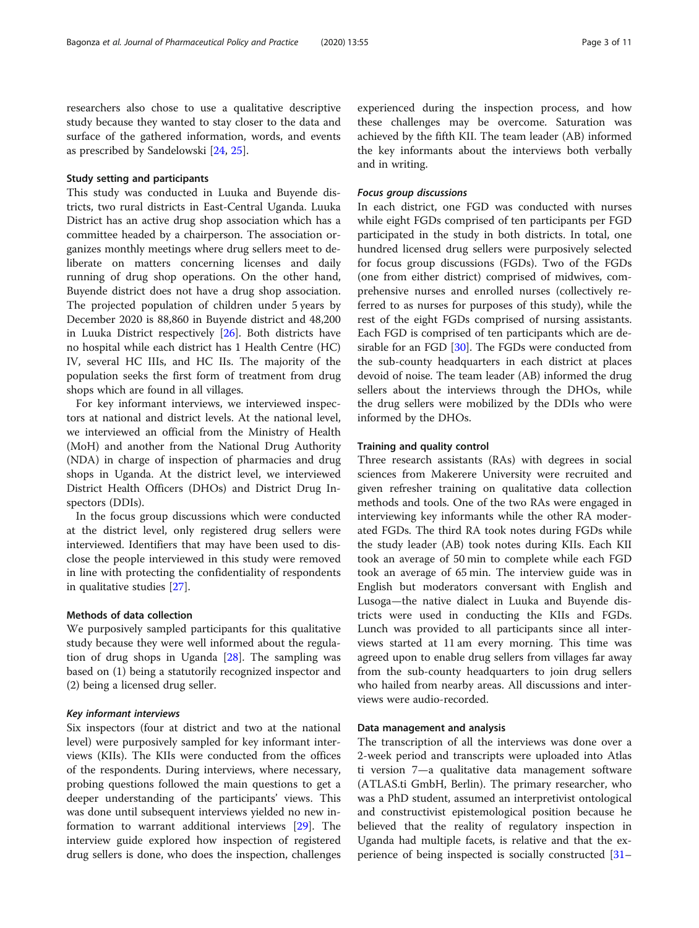researchers also chose to use a qualitative descriptive study because they wanted to stay closer to the data and surface of the gathered information, words, and events as prescribed by Sandelowski [[24,](#page-10-0) [25\]](#page-10-0).

#### Study setting and participants

This study was conducted in Luuka and Buyende districts, two rural districts in East-Central Uganda. Luuka District has an active drug shop association which has a committee headed by a chairperson. The association organizes monthly meetings where drug sellers meet to deliberate on matters concerning licenses and daily running of drug shop operations. On the other hand, Buyende district does not have a drug shop association. The projected population of children under 5 years by December 2020 is 88,860 in Buyende district and 48,200 in Luuka District respectively [[26](#page-10-0)]. Both districts have no hospital while each district has 1 Health Centre (HC) IV, several HC IIIs, and HC IIs. The majority of the population seeks the first form of treatment from drug shops which are found in all villages.

For key informant interviews, we interviewed inspectors at national and district levels. At the national level, we interviewed an official from the Ministry of Health (MoH) and another from the National Drug Authority (NDA) in charge of inspection of pharmacies and drug shops in Uganda. At the district level, we interviewed District Health Officers (DHOs) and District Drug Inspectors (DDIs).

In the focus group discussions which were conducted at the district level, only registered drug sellers were interviewed. Identifiers that may have been used to disclose the people interviewed in this study were removed in line with protecting the confidentiality of respondents in qualitative studies [\[27\]](#page-10-0).

#### Methods of data collection

We purposively sampled participants for this qualitative study because they were well informed about the regulation of drug shops in Uganda [\[28](#page-10-0)]. The sampling was based on (1) being a statutorily recognized inspector and (2) being a licensed drug seller.

#### Key informant interviews

Six inspectors (four at district and two at the national level) were purposively sampled for key informant interviews (KIIs). The KIIs were conducted from the offices of the respondents. During interviews, where necessary, probing questions followed the main questions to get a deeper understanding of the participants' views. This was done until subsequent interviews yielded no new information to warrant additional interviews [[29\]](#page-10-0). The interview guide explored how inspection of registered drug sellers is done, who does the inspection, challenges

experienced during the inspection process, and how these challenges may be overcome. Saturation was achieved by the fifth KII. The team leader (AB) informed the key informants about the interviews both verbally and in writing.

#### Focus group discussions

In each district, one FGD was conducted with nurses while eight FGDs comprised of ten participants per FGD participated in the study in both districts. In total, one hundred licensed drug sellers were purposively selected for focus group discussions (FGDs). Two of the FGDs (one from either district) comprised of midwives, comprehensive nurses and enrolled nurses (collectively referred to as nurses for purposes of this study), while the rest of the eight FGDs comprised of nursing assistants. Each FGD is comprised of ten participants which are de-sirable for an FGD [\[30](#page-10-0)]. The FGDs were conducted from the sub-county headquarters in each district at places devoid of noise. The team leader (AB) informed the drug sellers about the interviews through the DHOs, while the drug sellers were mobilized by the DDIs who were informed by the DHOs.

#### Training and quality control

Three research assistants (RAs) with degrees in social sciences from Makerere University were recruited and given refresher training on qualitative data collection methods and tools. One of the two RAs were engaged in interviewing key informants while the other RA moderated FGDs. The third RA took notes during FGDs while the study leader (AB) took notes during KIIs. Each KII took an average of 50 min to complete while each FGD took an average of 65 min. The interview guide was in English but moderators conversant with English and Lusoga—the native dialect in Luuka and Buyende districts were used in conducting the KIIs and FGDs. Lunch was provided to all participants since all interviews started at 11 am every morning. This time was agreed upon to enable drug sellers from villages far away from the sub-county headquarters to join drug sellers who hailed from nearby areas. All discussions and interviews were audio-recorded.

#### Data management and analysis

The transcription of all the interviews was done over a 2-week period and transcripts were uploaded into Atlas ti version 7—a qualitative data management software (ATLAS.ti GmbH, Berlin). The primary researcher, who was a PhD student, assumed an interpretivist ontological and constructivist epistemological position because he believed that the reality of regulatory inspection in Uganda had multiple facets, is relative and that the experience of being inspected is socially constructed [[31](#page-10-0)–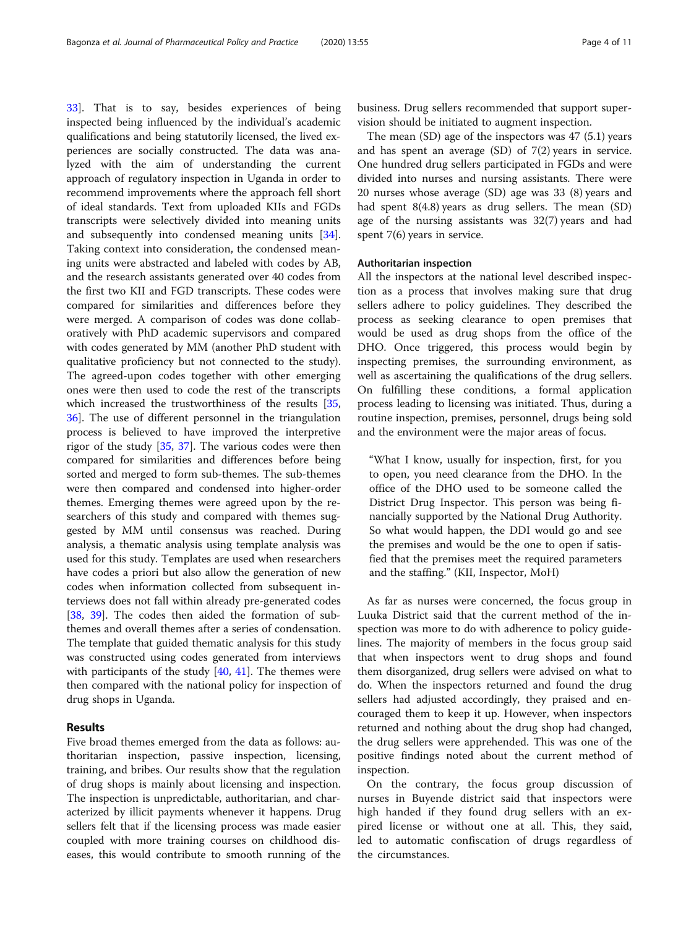[33\]](#page-10-0). That is to say, besides experiences of being inspected being influenced by the individual's academic qualifications and being statutorily licensed, the lived experiences are socially constructed. The data was analyzed with the aim of understanding the current approach of regulatory inspection in Uganda in order to recommend improvements where the approach fell short of ideal standards. Text from uploaded KIIs and FGDs transcripts were selectively divided into meaning units and subsequently into condensed meaning units [\[34](#page-10-0)]. Taking context into consideration, the condensed meaning units were abstracted and labeled with codes by AB, and the research assistants generated over 40 codes from the first two KII and FGD transcripts. These codes were compared for similarities and differences before they were merged. A comparison of codes was done collaboratively with PhD academic supervisors and compared with codes generated by MM (another PhD student with qualitative proficiency but not connected to the study). The agreed-upon codes together with other emerging ones were then used to code the rest of the transcripts which increased the trustworthiness of the results [[35](#page-10-0), [36\]](#page-10-0). The use of different personnel in the triangulation process is believed to have improved the interpretive rigor of the study [\[35](#page-10-0), [37\]](#page-10-0). The various codes were then compared for similarities and differences before being sorted and merged to form sub-themes. The sub-themes were then compared and condensed into higher-order themes. Emerging themes were agreed upon by the researchers of this study and compared with themes suggested by MM until consensus was reached. During analysis, a thematic analysis using template analysis was used for this study. Templates are used when researchers have codes a priori but also allow the generation of new codes when information collected from subsequent interviews does not fall within already pre-generated codes [[38,](#page-10-0) [39\]](#page-10-0). The codes then aided the formation of subthemes and overall themes after a series of condensation. The template that guided thematic analysis for this study was constructed using codes generated from interviews with participants of the study  $[40, 41]$  $[40, 41]$  $[40, 41]$  $[40, 41]$ . The themes were then compared with the national policy for inspection of drug shops in Uganda.

# Results

Five broad themes emerged from the data as follows: authoritarian inspection, passive inspection, licensing, training, and bribes. Our results show that the regulation of drug shops is mainly about licensing and inspection. The inspection is unpredictable, authoritarian, and characterized by illicit payments whenever it happens. Drug sellers felt that if the licensing process was made easier coupled with more training courses on childhood diseases, this would contribute to smooth running of the business. Drug sellers recommended that support supervision should be initiated to augment inspection.

The mean (SD) age of the inspectors was 47 (5.1) years and has spent an average (SD) of 7(2) years in service. One hundred drug sellers participated in FGDs and were divided into nurses and nursing assistants. There were 20 nurses whose average (SD) age was 33 (8) years and had spent 8(4.8) years as drug sellers. The mean (SD) age of the nursing assistants was 32(7) years and had spent 7(6) years in service.

#### Authoritarian inspection

All the inspectors at the national level described inspection as a process that involves making sure that drug sellers adhere to policy guidelines. They described the process as seeking clearance to open premises that would be used as drug shops from the office of the DHO. Once triggered, this process would begin by inspecting premises, the surrounding environment, as well as ascertaining the qualifications of the drug sellers. On fulfilling these conditions, a formal application process leading to licensing was initiated. Thus, during a routine inspection, premises, personnel, drugs being sold and the environment were the major areas of focus.

"What I know, usually for inspection, first, for you to open, you need clearance from the DHO. In the office of the DHO used to be someone called the District Drug Inspector. This person was being financially supported by the National Drug Authority. So what would happen, the DDI would go and see the premises and would be the one to open if satisfied that the premises meet the required parameters and the staffing." (KII, Inspector, MoH)

As far as nurses were concerned, the focus group in Luuka District said that the current method of the inspection was more to do with adherence to policy guidelines. The majority of members in the focus group said that when inspectors went to drug shops and found them disorganized, drug sellers were advised on what to do. When the inspectors returned and found the drug sellers had adjusted accordingly, they praised and encouraged them to keep it up. However, when inspectors returned and nothing about the drug shop had changed, the drug sellers were apprehended. This was one of the positive findings noted about the current method of inspection.

On the contrary, the focus group discussion of nurses in Buyende district said that inspectors were high handed if they found drug sellers with an expired license or without one at all. This, they said, led to automatic confiscation of drugs regardless of the circumstances.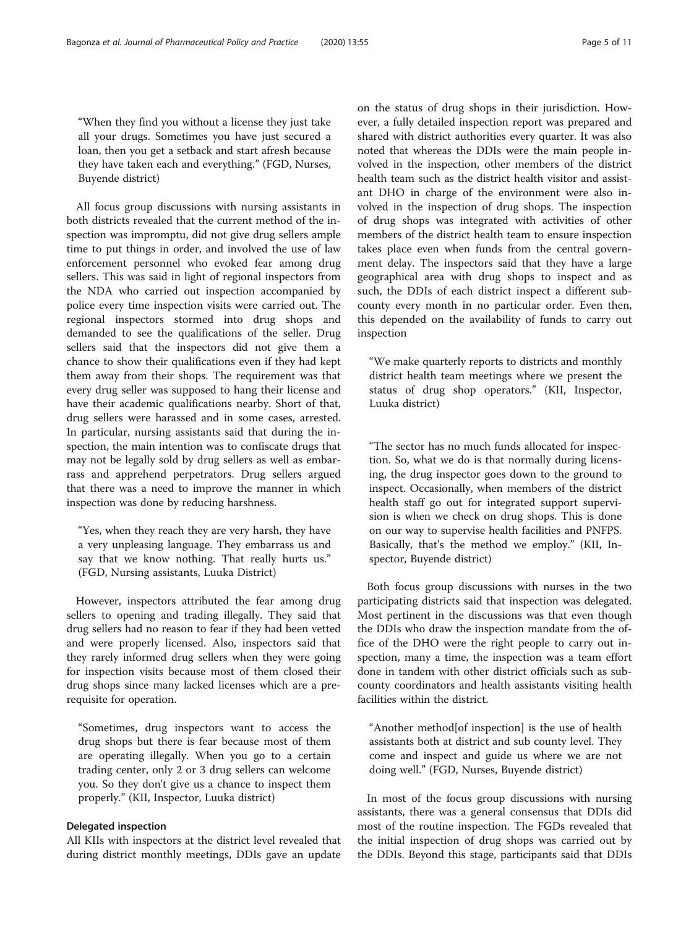"When they find you without a license they just take all your drugs. Sometimes you have just secured a loan, then you get a setback and start afresh because they have taken each and everything." (FGD, Nurses, Buyende district)

All focus group discussions with nursing assistants in both districts revealed that the current method of the inspection was impromptu, did not give drug sellers ample time to put things in order, and involved the use of law enforcement personnel who evoked fear among drug sellers. This was said in light of regional inspectors from the NDA who carried out inspection accompanied by police every time inspection visits were carried out. The regional inspectors stormed into drug shops and demanded to see the qualifications of the seller. Drug sellers said that the inspectors did not give them a chance to show their qualifications even if they had kept them away from their shops. The requirement was that every drug seller was supposed to hang their license and have their academic qualifications nearby. Short of that, drug sellers were harassed and in some cases, arrested. In particular, nursing assistants said that during the inspection, the main intention was to confiscate drugs that may not be legally sold by drug sellers as well as embarrass and apprehend perpetrators. Drug sellers argued that there was a need to improve the manner in which inspection was done by reducing harshness.

"Yes, when they reach they are very harsh, they have a very unpleasing language. They embarrass us and say that we know nothing. That really hurts us." (FGD, Nursing assistants, Luuka District)

However, inspectors attributed the fear among drug sellers to opening and trading illegally. They said that drug sellers had no reason to fear if they had been vetted and were properly licensed. Also, inspectors said that they rarely informed drug sellers when they were going for inspection visits because most of them closed their drug shops since many lacked licenses which are a prerequisite for operation.

"Sometimes, drug inspectors want to access the drug shops but there is fear because most of them are operating illegally. When you go to a certain trading center, only 2 or 3 drug sellers can welcome you. So they don't give us a chance to inspect them properly." (KII, Inspector, Luuka district)

#### Delegated inspection

All KIIs with inspectors at the district level revealed that during district monthly meetings, DDIs gave an update on the status of drug shops in their jurisdiction. However, a fully detailed inspection report was prepared and shared with district authorities every quarter. It was also noted that whereas the DDIs were the main people involved in the inspection, other members of the district health team such as the district health visitor and assistant DHO in charge of the environment were also involved in the inspection of drug shops. The inspection of drug shops was integrated with activities of other members of the district health team to ensure inspection takes place even when funds from the central government delay. The inspectors said that they have a large geographical area with drug shops to inspect and as such, the DDIs of each district inspect a different subcounty every month in no particular order. Even then, this depended on the availability of funds to carry out inspection

"We make quarterly reports to districts and monthly district health team meetings where we present the status of drug shop operators." (KII, Inspector, Luuka district)

"The sector has no much funds allocated for inspection. So, what we do is that normally during licensing, the drug inspector goes down to the ground to inspect. Occasionally, when members of the district health staff go out for integrated support supervision is when we check on drug shops. This is done on our way to supervise health facilities and PNFPS. Basically, that's the method we employ." (KII, Inspector, Buyende district)

Both focus group discussions with nurses in the two participating districts said that inspection was delegated. Most pertinent in the discussions was that even though the DDIs who draw the inspection mandate from the office of the DHO were the right people to carry out inspection, many a time, the inspection was a team effort done in tandem with other district officials such as subcounty coordinators and health assistants visiting health facilities within the district.

"Another method[of inspection] is the use of health assistants both at district and sub county level. They come and inspect and guide us where we are not doing well." (FGD, Nurses, Buyende district)

In most of the focus group discussions with nursing assistants, there was a general consensus that DDIs did most of the routine inspection. The FGDs revealed that the initial inspection of drug shops was carried out by the DDIs. Beyond this stage, participants said that DDIs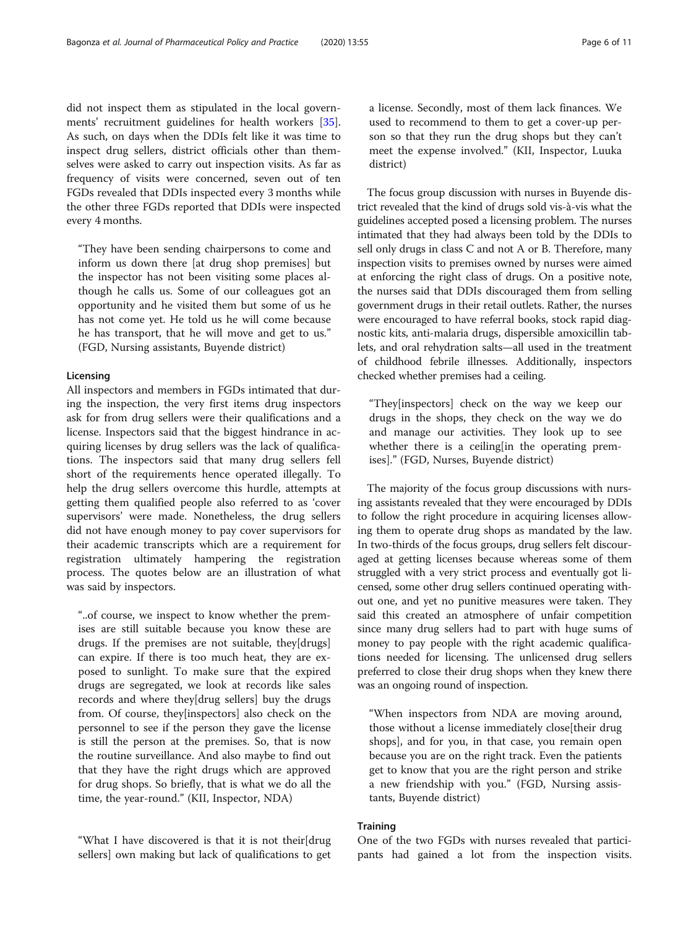did not inspect them as stipulated in the local governments' recruitment guidelines for health workers [\[35](#page-10-0)]. As such, on days when the DDIs felt like it was time to inspect drug sellers, district officials other than themselves were asked to carry out inspection visits. As far as frequency of visits were concerned, seven out of ten FGDs revealed that DDIs inspected every 3 months while the other three FGDs reported that DDIs were inspected every 4 months.

"They have been sending chairpersons to come and inform us down there [at drug shop premises] but the inspector has not been visiting some places although he calls us. Some of our colleagues got an opportunity and he visited them but some of us he has not come yet. He told us he will come because he has transport, that he will move and get to us." (FGD, Nursing assistants, Buyende district)

# Licensing

All inspectors and members in FGDs intimated that during the inspection, the very first items drug inspectors ask for from drug sellers were their qualifications and a license. Inspectors said that the biggest hindrance in acquiring licenses by drug sellers was the lack of qualifications. The inspectors said that many drug sellers fell short of the requirements hence operated illegally. To help the drug sellers overcome this hurdle, attempts at getting them qualified people also referred to as 'cover supervisors' were made. Nonetheless, the drug sellers did not have enough money to pay cover supervisors for their academic transcripts which are a requirement for registration ultimately hampering the registration process. The quotes below are an illustration of what was said by inspectors.

"..of course, we inspect to know whether the premises are still suitable because you know these are drugs. If the premises are not suitable, they[drugs] can expire. If there is too much heat, they are exposed to sunlight. To make sure that the expired drugs are segregated, we look at records like sales records and where they[drug sellers] buy the drugs from. Of course, they[inspectors] also check on the personnel to see if the person they gave the license is still the person at the premises. So, that is now the routine surveillance. And also maybe to find out that they have the right drugs which are approved for drug shops. So briefly, that is what we do all the time, the year-round." (KII, Inspector, NDA)

"What I have discovered is that it is not their[drug sellers] own making but lack of qualifications to get a license. Secondly, most of them lack finances. We used to recommend to them to get a cover-up person so that they run the drug shops but they can't meet the expense involved." (KII, Inspector, Luuka district)

The focus group discussion with nurses in Buyende district revealed that the kind of drugs sold vis-à-vis what the guidelines accepted posed a licensing problem. The nurses intimated that they had always been told by the DDIs to sell only drugs in class C and not A or B. Therefore, many inspection visits to premises owned by nurses were aimed at enforcing the right class of drugs. On a positive note, the nurses said that DDIs discouraged them from selling government drugs in their retail outlets. Rather, the nurses were encouraged to have referral books, stock rapid diagnostic kits, anti-malaria drugs, dispersible amoxicillin tablets, and oral rehydration salts—all used in the treatment of childhood febrile illnesses. Additionally, inspectors checked whether premises had a ceiling.

"They[inspectors] check on the way we keep our drugs in the shops, they check on the way we do and manage our activities. They look up to see whether there is a ceiling [in the operating premises]." (FGD, Nurses, Buyende district)

The majority of the focus group discussions with nursing assistants revealed that they were encouraged by DDIs to follow the right procedure in acquiring licenses allowing them to operate drug shops as mandated by the law. In two-thirds of the focus groups, drug sellers felt discouraged at getting licenses because whereas some of them struggled with a very strict process and eventually got licensed, some other drug sellers continued operating without one, and yet no punitive measures were taken. They said this created an atmosphere of unfair competition since many drug sellers had to part with huge sums of money to pay people with the right academic qualifications needed for licensing. The unlicensed drug sellers preferred to close their drug shops when they knew there was an ongoing round of inspection.

"When inspectors from NDA are moving around, those without a license immediately close[their drug shops], and for you, in that case, you remain open because you are on the right track. Even the patients get to know that you are the right person and strike a new friendship with you." (FGD, Nursing assistants, Buyende district)

# **Training**

One of the two FGDs with nurses revealed that participants had gained a lot from the inspection visits.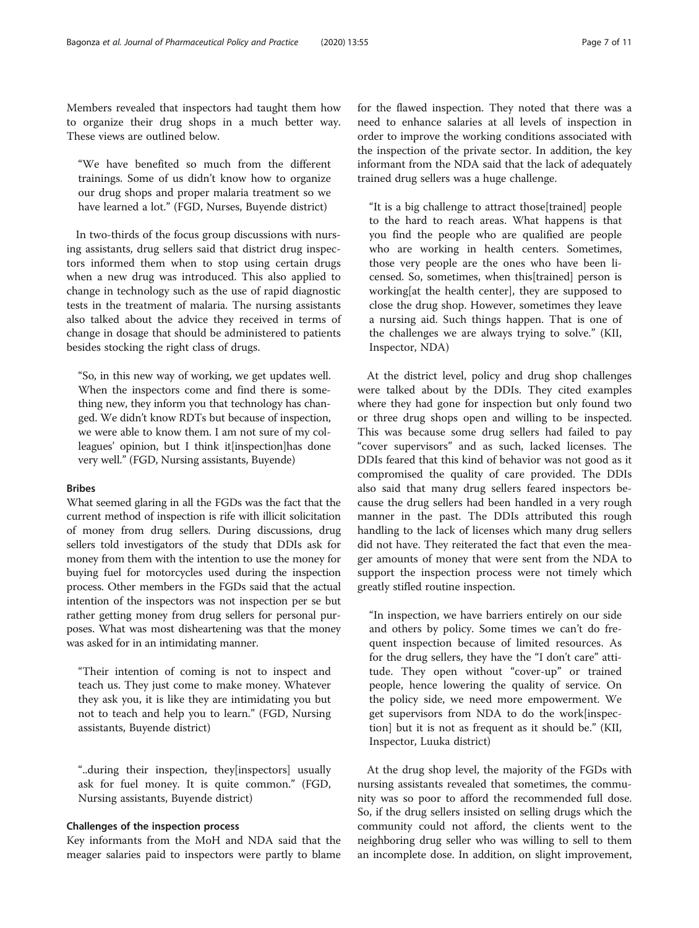Members revealed that inspectors had taught them how to organize their drug shops in a much better way. These views are outlined below.

"We have benefited so much from the different trainings. Some of us didn't know how to organize our drug shops and proper malaria treatment so we have learned a lot." (FGD, Nurses, Buyende district)

In two-thirds of the focus group discussions with nursing assistants, drug sellers said that district drug inspectors informed them when to stop using certain drugs when a new drug was introduced. This also applied to change in technology such as the use of rapid diagnostic tests in the treatment of malaria. The nursing assistants also talked about the advice they received in terms of change in dosage that should be administered to patients besides stocking the right class of drugs.

"So, in this new way of working, we get updates well. When the inspectors come and find there is something new, they inform you that technology has changed. We didn't know RDTs but because of inspection, we were able to know them. I am not sure of my colleagues' opinion, but I think it[inspection]has done very well." (FGD, Nursing assistants, Buyende)

#### Bribes

What seemed glaring in all the FGDs was the fact that the current method of inspection is rife with illicit solicitation of money from drug sellers. During discussions, drug sellers told investigators of the study that DDIs ask for money from them with the intention to use the money for buying fuel for motorcycles used during the inspection process. Other members in the FGDs said that the actual intention of the inspectors was not inspection per se but rather getting money from drug sellers for personal purposes. What was most disheartening was that the money was asked for in an intimidating manner.

"Their intention of coming is not to inspect and teach us. They just come to make money. Whatever they ask you, it is like they are intimidating you but not to teach and help you to learn." (FGD, Nursing assistants, Buyende district)

"..during their inspection, they[inspectors] usually ask for fuel money. It is quite common." (FGD, Nursing assistants, Buyende district)

#### Challenges of the inspection process

Key informants from the MoH and NDA said that the meager salaries paid to inspectors were partly to blame for the flawed inspection. They noted that there was a need to enhance salaries at all levels of inspection in order to improve the working conditions associated with the inspection of the private sector. In addition, the key informant from the NDA said that the lack of adequately trained drug sellers was a huge challenge.

"It is a big challenge to attract those[trained] people to the hard to reach areas. What happens is that you find the people who are qualified are people who are working in health centers. Sometimes, those very people are the ones who have been licensed. So, sometimes, when this[trained] person is working[at the health center], they are supposed to close the drug shop. However, sometimes they leave a nursing aid. Such things happen. That is one of the challenges we are always trying to solve." (KII, Inspector, NDA)

At the district level, policy and drug shop challenges were talked about by the DDIs. They cited examples where they had gone for inspection but only found two or three drug shops open and willing to be inspected. This was because some drug sellers had failed to pay "cover supervisors" and as such, lacked licenses. The DDIs feared that this kind of behavior was not good as it compromised the quality of care provided. The DDIs also said that many drug sellers feared inspectors because the drug sellers had been handled in a very rough manner in the past. The DDIs attributed this rough handling to the lack of licenses which many drug sellers did not have. They reiterated the fact that even the meager amounts of money that were sent from the NDA to support the inspection process were not timely which greatly stifled routine inspection.

"In inspection, we have barriers entirely on our side and others by policy. Some times we can't do frequent inspection because of limited resources. As for the drug sellers, they have the "I don't care" attitude. They open without "cover-up" or trained people, hence lowering the quality of service. On the policy side, we need more empowerment. We get supervisors from NDA to do the work[inspection] but it is not as frequent as it should be." (KII, Inspector, Luuka district)

At the drug shop level, the majority of the FGDs with nursing assistants revealed that sometimes, the community was so poor to afford the recommended full dose. So, if the drug sellers insisted on selling drugs which the community could not afford, the clients went to the neighboring drug seller who was willing to sell to them an incomplete dose. In addition, on slight improvement,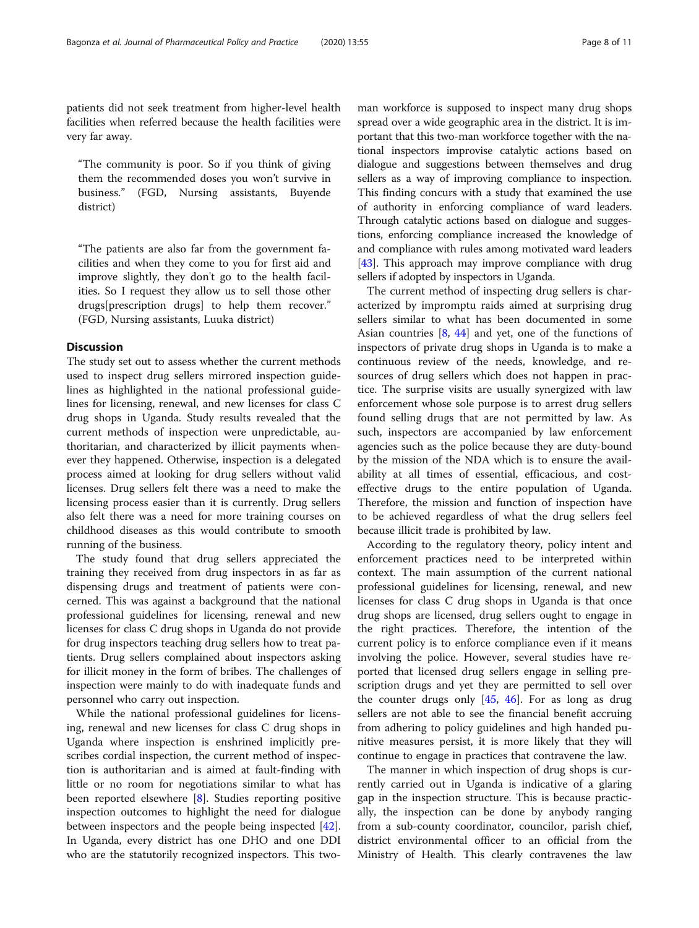patients did not seek treatment from higher-level health facilities when referred because the health facilities were very far away.

"The community is poor. So if you think of giving them the recommended doses you won't survive in business." (FGD, Nursing assistants, Buyende district)

"The patients are also far from the government facilities and when they come to you for first aid and improve slightly, they don't go to the health facilities. So I request they allow us to sell those other drugs[prescription drugs] to help them recover." (FGD, Nursing assistants, Luuka district)

# **Discussion**

The study set out to assess whether the current methods used to inspect drug sellers mirrored inspection guidelines as highlighted in the national professional guidelines for licensing, renewal, and new licenses for class C drug shops in Uganda. Study results revealed that the current methods of inspection were unpredictable, authoritarian, and characterized by illicit payments whenever they happened. Otherwise, inspection is a delegated process aimed at looking for drug sellers without valid licenses. Drug sellers felt there was a need to make the licensing process easier than it is currently. Drug sellers also felt there was a need for more training courses on childhood diseases as this would contribute to smooth running of the business.

The study found that drug sellers appreciated the training they received from drug inspectors in as far as dispensing drugs and treatment of patients were concerned. This was against a background that the national professional guidelines for licensing, renewal and new licenses for class C drug shops in Uganda do not provide for drug inspectors teaching drug sellers how to treat patients. Drug sellers complained about inspectors asking for illicit money in the form of bribes. The challenges of inspection were mainly to do with inadequate funds and personnel who carry out inspection.

While the national professional guidelines for licensing, renewal and new licenses for class C drug shops in Uganda where inspection is enshrined implicitly prescribes cordial inspection, the current method of inspection is authoritarian and is aimed at fault-finding with little or no room for negotiations similar to what has been reported elsewhere [[8\]](#page-10-0). Studies reporting positive inspection outcomes to highlight the need for dialogue between inspectors and the people being inspected [\[42](#page-10-0)]. In Uganda, every district has one DHO and one DDI who are the statutorily recognized inspectors. This two-

man workforce is supposed to inspect many drug shops spread over a wide geographic area in the district. It is important that this two-man workforce together with the national inspectors improvise catalytic actions based on dialogue and suggestions between themselves and drug sellers as a way of improving compliance to inspection. This finding concurs with a study that examined the use of authority in enforcing compliance of ward leaders. Through catalytic actions based on dialogue and suggestions, enforcing compliance increased the knowledge of and compliance with rules among motivated ward leaders [[43](#page-10-0)]. This approach may improve compliance with drug sellers if adopted by inspectors in Uganda.

The current method of inspecting drug sellers is characterized by impromptu raids aimed at surprising drug sellers similar to what has been documented in some Asian countries [[8](#page-10-0), [44](#page-10-0)] and yet, one of the functions of inspectors of private drug shops in Uganda is to make a continuous review of the needs, knowledge, and resources of drug sellers which does not happen in practice. The surprise visits are usually synergized with law enforcement whose sole purpose is to arrest drug sellers found selling drugs that are not permitted by law. As such, inspectors are accompanied by law enforcement agencies such as the police because they are duty-bound by the mission of the NDA which is to ensure the availability at all times of essential, efficacious, and costeffective drugs to the entire population of Uganda. Therefore, the mission and function of inspection have to be achieved regardless of what the drug sellers feel because illicit trade is prohibited by law.

According to the regulatory theory, policy intent and enforcement practices need to be interpreted within context. The main assumption of the current national professional guidelines for licensing, renewal, and new licenses for class C drug shops in Uganda is that once drug shops are licensed, drug sellers ought to engage in the right practices. Therefore, the intention of the current policy is to enforce compliance even if it means involving the police. However, several studies have reported that licensed drug sellers engage in selling prescription drugs and yet they are permitted to sell over the counter drugs only  $[45, 46]$  $[45, 46]$  $[45, 46]$  $[45, 46]$ . For as long as drug sellers are not able to see the financial benefit accruing from adhering to policy guidelines and high handed punitive measures persist, it is more likely that they will continue to engage in practices that contravene the law.

The manner in which inspection of drug shops is currently carried out in Uganda is indicative of a glaring gap in the inspection structure. This is because practically, the inspection can be done by anybody ranging from a sub-county coordinator, councilor, parish chief, district environmental officer to an official from the Ministry of Health. This clearly contravenes the law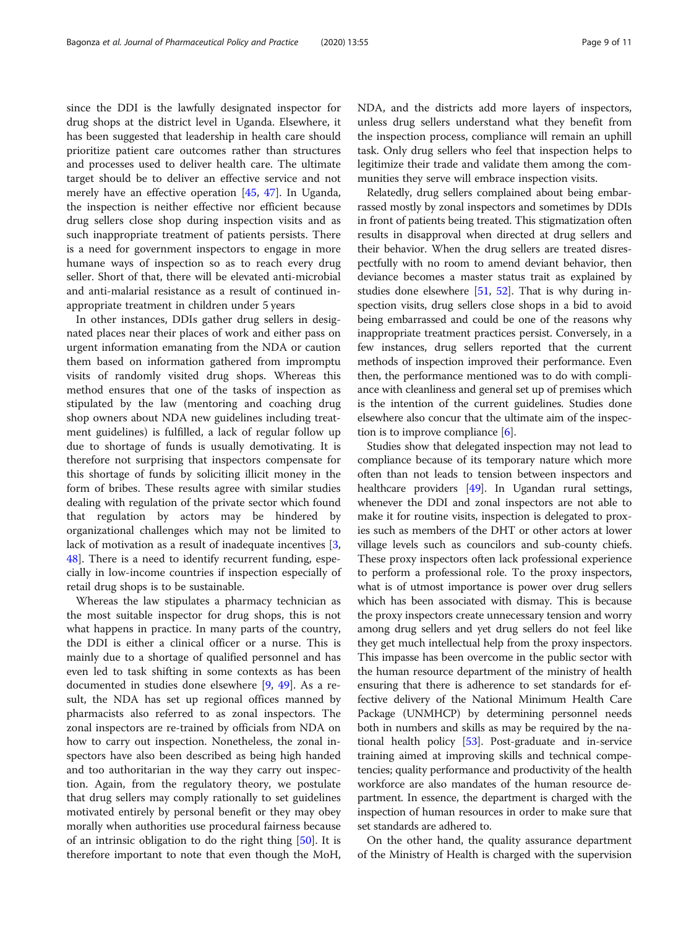since the DDI is the lawfully designated inspector for drug shops at the district level in Uganda. Elsewhere, it has been suggested that leadership in health care should prioritize patient care outcomes rather than structures and processes used to deliver health care. The ultimate target should be to deliver an effective service and not merely have an effective operation [\[45,](#page-10-0) [47\]](#page-10-0). In Uganda, the inspection is neither effective nor efficient because drug sellers close shop during inspection visits and as such inappropriate treatment of patients persists. There is a need for government inspectors to engage in more humane ways of inspection so as to reach every drug seller. Short of that, there will be elevated anti-microbial and anti-malarial resistance as a result of continued inappropriate treatment in children under 5 years

In other instances, DDIs gather drug sellers in designated places near their places of work and either pass on urgent information emanating from the NDA or caution them based on information gathered from impromptu visits of randomly visited drug shops. Whereas this method ensures that one of the tasks of inspection as stipulated by the law (mentoring and coaching drug shop owners about NDA new guidelines including treatment guidelines) is fulfilled, a lack of regular follow up due to shortage of funds is usually demotivating. It is therefore not surprising that inspectors compensate for this shortage of funds by soliciting illicit money in the form of bribes. These results agree with similar studies dealing with regulation of the private sector which found that regulation by actors may be hindered by organizational challenges which may not be limited to lack of motivation as a result of inadequate incentives [\[3](#page-9-0), [48\]](#page-10-0). There is a need to identify recurrent funding, especially in low-income countries if inspection especially of retail drug shops is to be sustainable.

Whereas the law stipulates a pharmacy technician as the most suitable inspector for drug shops, this is not what happens in practice. In many parts of the country, the DDI is either a clinical officer or a nurse. This is mainly due to a shortage of qualified personnel and has even led to task shifting in some contexts as has been documented in studies done elsewhere [\[9](#page-10-0), [49\]](#page-10-0). As a result, the NDA has set up regional offices manned by pharmacists also referred to as zonal inspectors. The zonal inspectors are re-trained by officials from NDA on how to carry out inspection. Nonetheless, the zonal inspectors have also been described as being high handed and too authoritarian in the way they carry out inspection. Again, from the regulatory theory, we postulate that drug sellers may comply rationally to set guidelines motivated entirely by personal benefit or they may obey morally when authorities use procedural fairness because of an intrinsic obligation to do the right thing [[50](#page-10-0)]. It is therefore important to note that even though the MoH, NDA, and the districts add more layers of inspectors, unless drug sellers understand what they benefit from the inspection process, compliance will remain an uphill task. Only drug sellers who feel that inspection helps to legitimize their trade and validate them among the communities they serve will embrace inspection visits.

Relatedly, drug sellers complained about being embarrassed mostly by zonal inspectors and sometimes by DDIs in front of patients being treated. This stigmatization often results in disapproval when directed at drug sellers and their behavior. When the drug sellers are treated disrespectfully with no room to amend deviant behavior, then deviance becomes a master status trait as explained by studies done elsewhere [\[51,](#page-10-0) [52\]](#page-10-0). That is why during inspection visits, drug sellers close shops in a bid to avoid being embarrassed and could be one of the reasons why inappropriate treatment practices persist. Conversely, in a few instances, drug sellers reported that the current methods of inspection improved their performance. Even then, the performance mentioned was to do with compliance with cleanliness and general set up of premises which is the intention of the current guidelines. Studies done elsewhere also concur that the ultimate aim of the inspection is to improve compliance  $[6]$  $[6]$ .

Studies show that delegated inspection may not lead to compliance because of its temporary nature which more often than not leads to tension between inspectors and healthcare providers [\[49\]](#page-10-0). In Ugandan rural settings, whenever the DDI and zonal inspectors are not able to make it for routine visits, inspection is delegated to proxies such as members of the DHT or other actors at lower village levels such as councilors and sub-county chiefs. These proxy inspectors often lack professional experience to perform a professional role. To the proxy inspectors, what is of utmost importance is power over drug sellers which has been associated with dismay. This is because the proxy inspectors create unnecessary tension and worry among drug sellers and yet drug sellers do not feel like they get much intellectual help from the proxy inspectors. This impasse has been overcome in the public sector with the human resource department of the ministry of health ensuring that there is adherence to set standards for effective delivery of the National Minimum Health Care Package (UNMHCP) by determining personnel needs both in numbers and skills as may be required by the national health policy [\[53\]](#page-10-0). Post-graduate and in-service training aimed at improving skills and technical competencies; quality performance and productivity of the health workforce are also mandates of the human resource department. In essence, the department is charged with the inspection of human resources in order to make sure that set standards are adhered to.

On the other hand, the quality assurance department of the Ministry of Health is charged with the supervision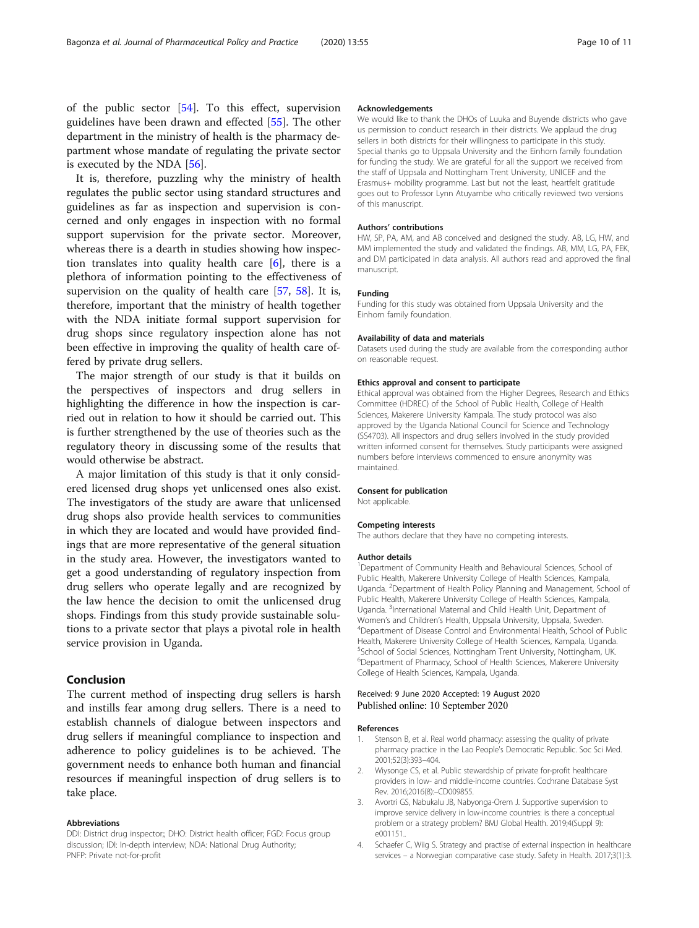<span id="page-9-0"></span>of the public sector [\[54](#page-10-0)]. To this effect, supervision guidelines have been drawn and effected [[55\]](#page-10-0). The other department in the ministry of health is the pharmacy department whose mandate of regulating the private sector is executed by the NDA [[56\]](#page-10-0).

It is, therefore, puzzling why the ministry of health regulates the public sector using standard structures and guidelines as far as inspection and supervision is concerned and only engages in inspection with no formal support supervision for the private sector. Moreover, whereas there is a dearth in studies showing how inspection translates into quality health care  $[6]$  $[6]$ , there is a plethora of information pointing to the effectiveness of supervision on the quality of health care [\[57,](#page-10-0) [58](#page-10-0)]. It is, therefore, important that the ministry of health together with the NDA initiate formal support supervision for drug shops since regulatory inspection alone has not been effective in improving the quality of health care offered by private drug sellers.

The major strength of our study is that it builds on the perspectives of inspectors and drug sellers in highlighting the difference in how the inspection is carried out in relation to how it should be carried out. This is further strengthened by the use of theories such as the regulatory theory in discussing some of the results that would otherwise be abstract.

A major limitation of this study is that it only considered licensed drug shops yet unlicensed ones also exist. The investigators of the study are aware that unlicensed drug shops also provide health services to communities in which they are located and would have provided findings that are more representative of the general situation in the study area. However, the investigators wanted to get a good understanding of regulatory inspection from drug sellers who operate legally and are recognized by the law hence the decision to omit the unlicensed drug shops. Findings from this study provide sustainable solutions to a private sector that plays a pivotal role in health service provision in Uganda.

# Conclusion

The current method of inspecting drug sellers is harsh and instills fear among drug sellers. There is a need to establish channels of dialogue between inspectors and drug sellers if meaningful compliance to inspection and adherence to policy guidelines is to be achieved. The government needs to enhance both human and financial resources if meaningful inspection of drug sellers is to take place.

#### Abbreviations

DDI: District drug inspector;; DHO: District health officer; FGD: Focus group discussion; IDI: In-depth interview; NDA: National Drug Authority; PNFP: Private not-for-profit

#### Acknowledgements

We would like to thank the DHOs of Luuka and Buyende districts who gave us permission to conduct research in their districts. We applaud the drug sellers in both districts for their willingness to participate in this study. Special thanks go to Uppsala University and the Einhorn family foundation for funding the study. We are grateful for all the support we received from the staff of Uppsala and Nottingham Trent University, UNICEF and the Erasmus+ mobility programme. Last but not the least, heartfelt gratitude goes out to Professor Lynn Atuyambe who critically reviewed two versions of this manuscript.

#### Authors' contributions

HW, SP, PA, AM, and AB conceived and designed the study. AB, LG, HW, and MM implemented the study and validated the findings. AB, MM, LG, PA, FEK, and DM participated in data analysis. All authors read and approved the final manuscript.

#### Funding

Funding for this study was obtained from Uppsala University and the Einhorn family foundation.

#### Availability of data and materials

Datasets used during the study are available from the corresponding author on reasonable request.

#### Ethics approval and consent to participate

Ethical approval was obtained from the Higher Degrees, Research and Ethics Committee (HDREC) of the School of Public Health, College of Health Sciences, Makerere University Kampala. The study protocol was also approved by the Uganda National Council for Science and Technology (SS4703). All inspectors and drug sellers involved in the study provided written informed consent for themselves. Study participants were assigned numbers before interviews commenced to ensure anonymity was maintained.

#### Consent for publication

Not applicable.

#### Competing interests

The authors declare that they have no competing interests.

#### Author details

<sup>1</sup>Department of Community Health and Behavioural Sciences, School of Public Health, Makerere University College of Health Sciences, Kampala, Uganda. <sup>2</sup> Department of Health Policy Planning and Management, School of Public Health, Makerere University College of Health Sciences, Kampala, Uganda. <sup>3</sup>International Maternal and Child Health Unit, Department of Women's and Children's Health, Uppsala University, Uppsala, Sweden. Department of Disease Control and Environmental Health, School of Public Health, Makerere University College of Health Sciences, Kampala, Uganda. 5 School of Social Sciences, Nottingham Trent University, Nottingham, UK. 6 Department of Pharmacy, School of Health Sciences, Makerere University College of Health Sciences, Kampala, Uganda.

#### Received: 9 June 2020 Accepted: 19 August 2020 Published online: 10 September 2020

#### References

- 1. Stenson B, et al. Real world pharmacy: assessing the quality of private pharmacy practice in the Lao People's Democratic Republic. Soc Sci Med. 2001;52(3):393–404.
- 2. Wiysonge CS, et al. Public stewardship of private for-profit healthcare providers in low- and middle-income countries. Cochrane Database Syst Rev. 2016;2016(8):–CD009855.
- 3. Avortri GS, Nabukalu JB, Nabyonga-Orem J. Supportive supervision to improve service delivery in low-income countries: is there a conceptual problem or a strategy problem? BMJ Global Health. 2019;4(Suppl 9): e001151..
- 4. Schaefer C, Wiig S. Strategy and practise of external inspection in healthcare services – a Norwegian comparative case study. Safety in Health. 2017;3(1):3.